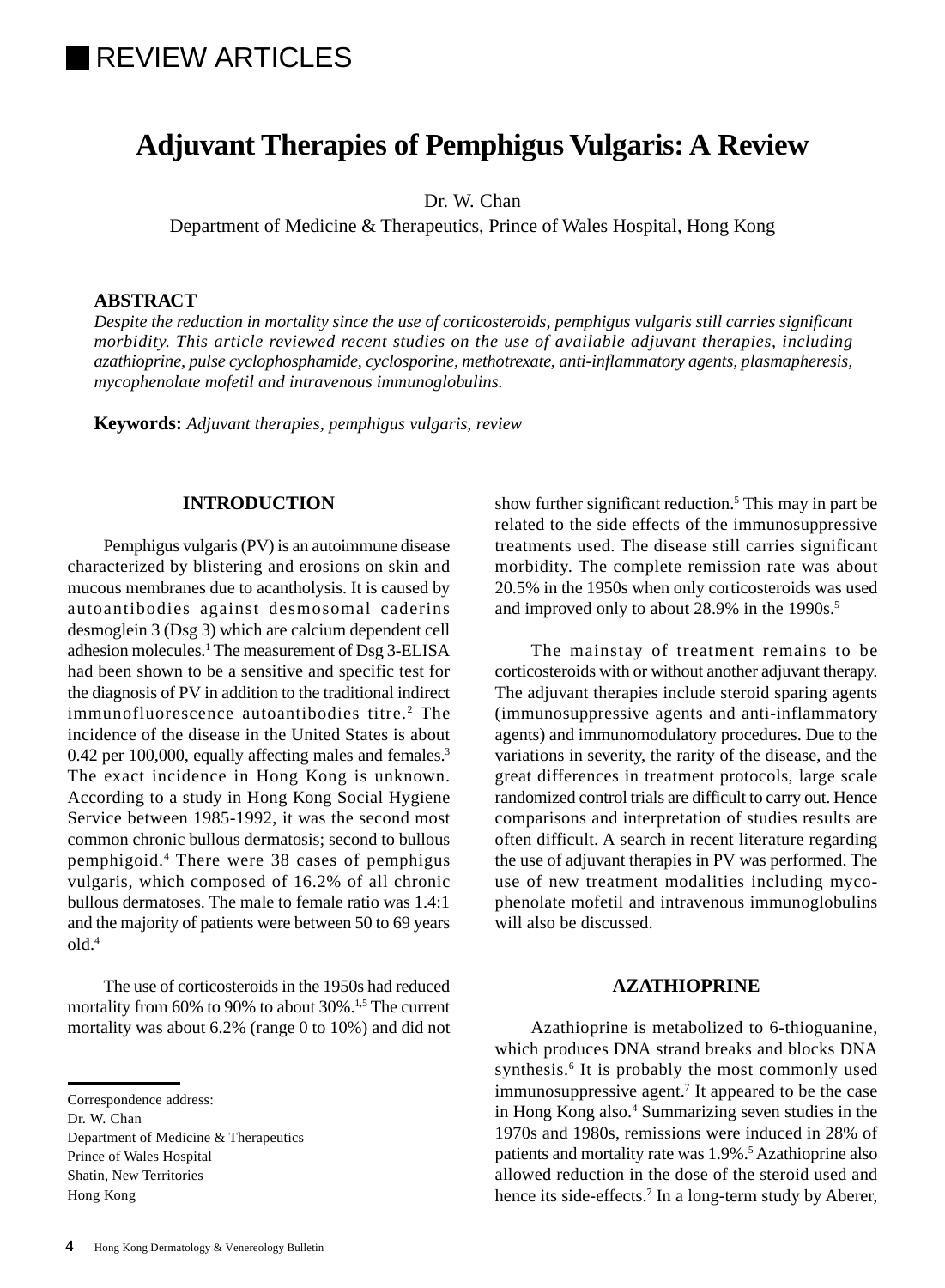# **REVIEW ARTICLES**

## **Adjuvant Therapies of Pemphigus Vulgaris: A Review**

Dr. W. Chan

Department of Medicine & Therapeutics, Prince of Wales Hospital, Hong Kong

## **ABSTRACT**

*Despite the reduction in mortality since the use of corticosteroids, pemphigus vulgaris still carries significant morbidity. This article reviewed recent studies on the use of available adjuvant therapies, including azathioprine, pulse cyclophosphamide, cyclosporine, methotrexate, anti-inflammatory agents, plasmapheresis, mycophenolate mofetil and intravenous immunoglobulins.*

**Keywords:** *Adjuvant therapies, pemphigus vulgaris, review*

## **INTRODUCTION**

Pemphigus vulgaris (PV) is an autoimmune disease characterized by blistering and erosions on skin and mucous membranes due to acantholysis. It is caused by autoantibodies against desmosomal caderins desmoglein 3 (Dsg 3) which are calcium dependent cell adhesion molecules.<sup>1</sup> The measurement of Dsg 3-ELISA had been shown to be a sensitive and specific test for the diagnosis of PV in addition to the traditional indirect immunofluorescence autoantibodies titre.<sup>2</sup> The incidence of the disease in the United States is about 0.42 per 100,000, equally affecting males and females.<sup>3</sup> The exact incidence in Hong Kong is unknown. According to a study in Hong Kong Social Hygiene Service between 1985-1992, it was the second most common chronic bullous dermatosis; second to bullous pemphigoid.4 There were 38 cases of pemphigus vulgaris, which composed of 16.2% of all chronic bullous dermatoses. The male to female ratio was 1.4:1 and the majority of patients were between 50 to 69 years old.4

The use of corticosteroids in the 1950s had reduced mortality from 60% to 90% to about 30%.<sup>1,5</sup> The current mortality was about 6.2% (range 0 to 10%) and did not

Department of Medicine & Therapeutics Prince of Wales Hospital Shatin, New Territories Hong Kong

show further significant reduction.<sup>5</sup> This may in part be related to the side effects of the immunosuppressive treatments used. The disease still carries significant morbidity. The complete remission rate was about 20.5% in the 1950s when only corticosteroids was used and improved only to about 28.9% in the 1990s.<sup>5</sup>

The mainstay of treatment remains to be corticosteroids with or without another adjuvant therapy. The adjuvant therapies include steroid sparing agents (immunosuppressive agents and anti-inflammatory agents) and immunomodulatory procedures. Due to the variations in severity, the rarity of the disease, and the great differences in treatment protocols, large scale randomized control trials are difficult to carry out. Hence comparisons and interpretation of studies results are often difficult. A search in recent literature regarding the use of adjuvant therapies in PV was performed. The use of new treatment modalities including mycophenolate mofetil and intravenous immunoglobulins will also be discussed.

## **AZATHIOPRINE**

Azathioprine is metabolized to 6-thioguanine, which produces DNA strand breaks and blocks DNA synthesis.<sup>6</sup> It is probably the most commonly used immunosuppressive agent.<sup>7</sup> It appeared to be the case in Hong Kong also.<sup>4</sup> Summarizing seven studies in the 1970s and 1980s, remissions were induced in 28% of patients and mortality rate was 1.9%.<sup>5</sup> Azathioprine also allowed reduction in the dose of the steroid used and hence its side-effects.<sup>7</sup> In a long-term study by Aberer,

Correspondence address:

Dr. W. Chan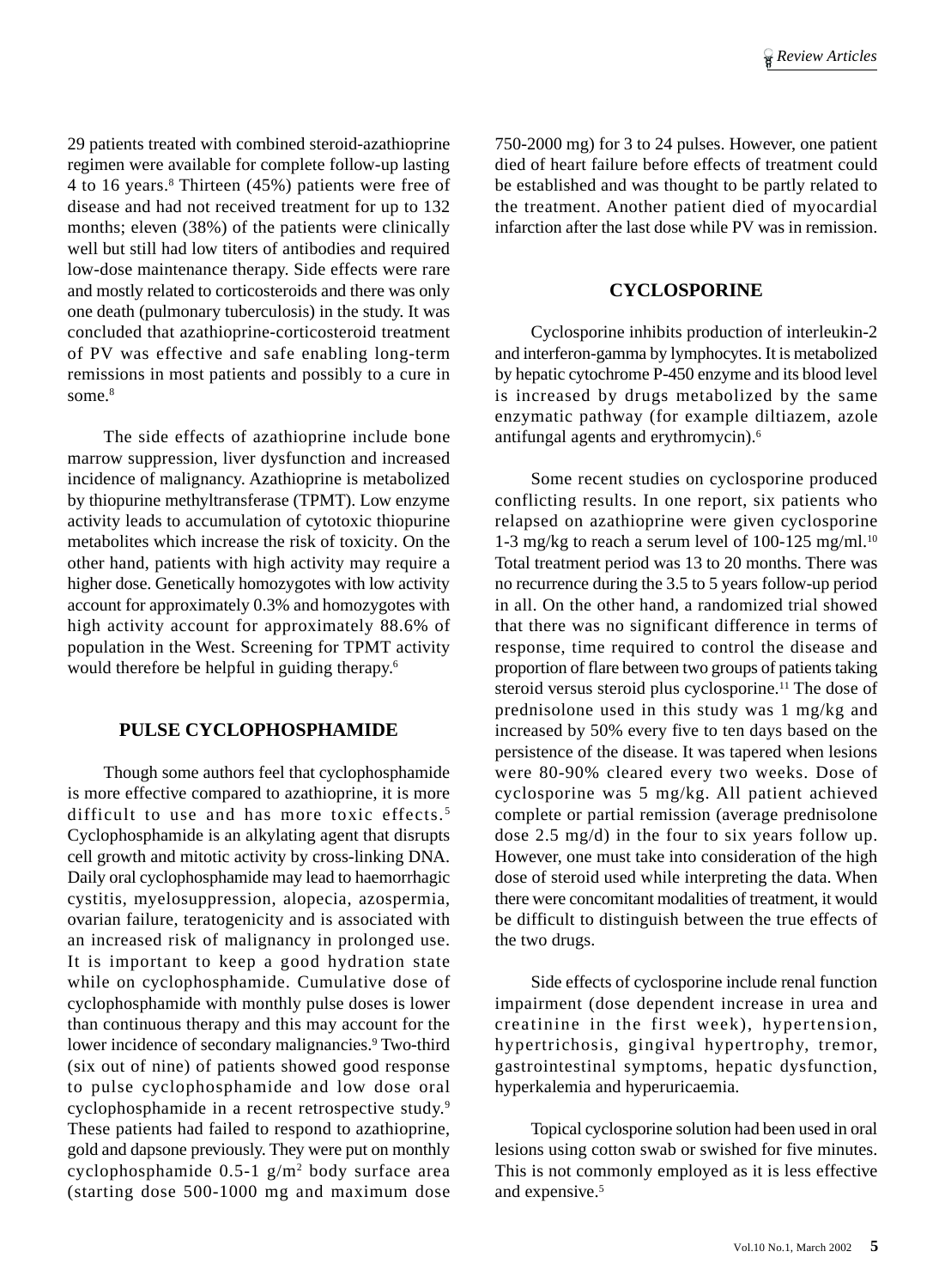29 patients treated with combined steroid-azathioprine regimen were available for complete follow-up lasting 4 to 16 years.8 Thirteen (45%) patients were free of disease and had not received treatment for up to 132 months; eleven (38%) of the patients were clinically well but still had low titers of antibodies and required low-dose maintenance therapy. Side effects were rare and mostly related to corticosteroids and there was only one death (pulmonary tuberculosis) in the study. It was concluded that azathioprine-corticosteroid treatment of PV was effective and safe enabling long-term remissions in most patients and possibly to a cure in some.<sup>8</sup>

The side effects of azathioprine include bone marrow suppression, liver dysfunction and increased incidence of malignancy. Azathioprine is metabolized by thiopurine methyltransferase (TPMT). Low enzyme activity leads to accumulation of cytotoxic thiopurine metabolites which increase the risk of toxicity. On the other hand, patients with high activity may require a higher dose. Genetically homozygotes with low activity account for approximately 0.3% and homozygotes with high activity account for approximately 88.6% of population in the West. Screening for TPMT activity would therefore be helpful in guiding therapy.<sup>6</sup>

## **PULSE CYCLOPHOSPHAMIDE**

Though some authors feel that cyclophosphamide is more effective compared to azathioprine, it is more difficult to use and has more toxic effects.<sup>5</sup> Cyclophosphamide is an alkylating agent that disrupts cell growth and mitotic activity by cross-linking DNA. Daily oral cyclophosphamide may lead to haemorrhagic cystitis, myelosuppression, alopecia, azospermia, ovarian failure, teratogenicity and is associated with an increased risk of malignancy in prolonged use. It is important to keep a good hydration state while on cyclophosphamide. Cumulative dose of cyclophosphamide with monthly pulse doses is lower than continuous therapy and this may account for the lower incidence of secondary malignancies.<sup>9</sup> Two-third (six out of nine) of patients showed good response to pulse cyclophosphamide and low dose oral cyclophosphamide in a recent retrospective study.9 These patients had failed to respond to azathioprine, gold and dapsone previously. They were put on monthly cyclophosphamide 0.5-1 g/m2 body surface area (starting dose 500-1000 mg and maximum dose

750-2000 mg) for 3 to 24 pulses. However, one patient died of heart failure before effects of treatment could be established and was thought to be partly related to the treatment. Another patient died of myocardial infarction after the last dose while PV was in remission.

## **CYCLOSPORINE**

Cyclosporine inhibits production of interleukin-2 and interferon-gamma by lymphocytes. It is metabolized by hepatic cytochrome P-450 enzyme and its blood level is increased by drugs metabolized by the same enzymatic pathway (for example diltiazem, azole antifungal agents and erythromycin).6

Some recent studies on cyclosporine produced conflicting results. In one report, six patients who relapsed on azathioprine were given cyclosporine 1-3 mg/kg to reach a serum level of 100-125 mg/ml.<sup>10</sup> Total treatment period was 13 to 20 months. There was no recurrence during the 3.5 to 5 years follow-up period in all. On the other hand, a randomized trial showed that there was no significant difference in terms of response, time required to control the disease and proportion of flare between two groups of patients taking steroid versus steroid plus cyclosporine.<sup>11</sup> The dose of prednisolone used in this study was 1 mg/kg and increased by 50% every five to ten days based on the persistence of the disease. It was tapered when lesions were 80-90% cleared every two weeks. Dose of cyclosporine was 5 mg/kg. All patient achieved complete or partial remission (average prednisolone dose 2.5 mg/d) in the four to six years follow up. However, one must take into consideration of the high dose of steroid used while interpreting the data. When there were concomitant modalities of treatment, it would be difficult to distinguish between the true effects of the two drugs.

Side effects of cyclosporine include renal function impairment (dose dependent increase in urea and creatinine in the first week), hypertension, hypertrichosis, gingival hypertrophy, tremor, gastrointestinal symptoms, hepatic dysfunction, hyperkalemia and hyperuricaemia.

Topical cyclosporine solution had been used in oral lesions using cotton swab or swished for five minutes. This is not commonly employed as it is less effective and expensive.<sup>5</sup>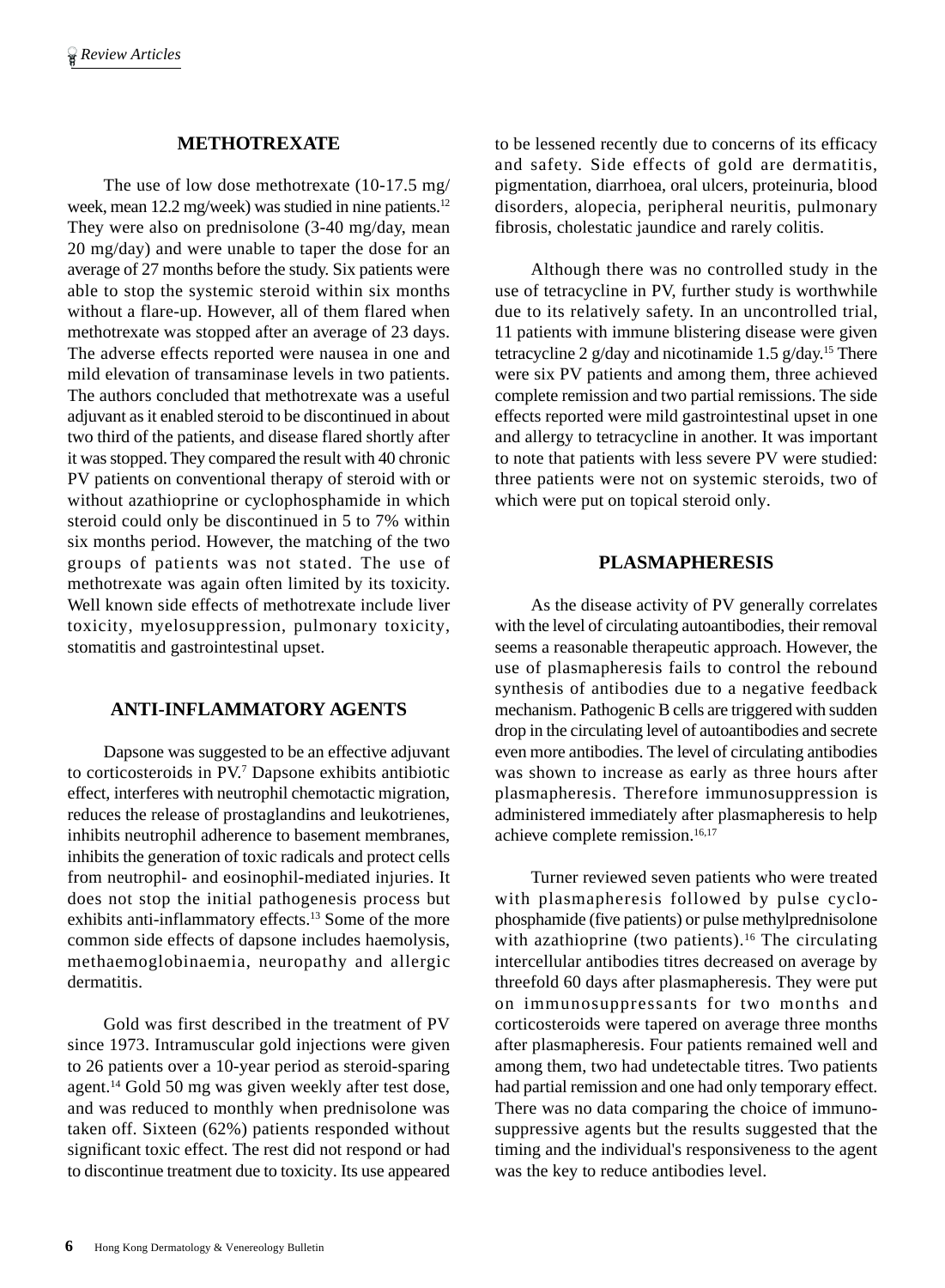## **METHOTREXATE**

The use of low dose methotrexate (10-17.5 mg/ week, mean 12.2 mg/week) was studied in nine patients.<sup>12</sup> They were also on prednisolone (3-40 mg/day, mean 20 mg/day) and were unable to taper the dose for an average of 27 months before the study. Six patients were able to stop the systemic steroid within six months without a flare-up. However, all of them flared when methotrexate was stopped after an average of 23 days. The adverse effects reported were nausea in one and mild elevation of transaminase levels in two patients. The authors concluded that methotrexate was a useful adjuvant as it enabled steroid to be discontinued in about two third of the patients, and disease flared shortly after it was stopped. They compared the result with 40 chronic PV patients on conventional therapy of steroid with or without azathioprine or cyclophosphamide in which steroid could only be discontinued in 5 to 7% within six months period. However, the matching of the two groups of patients was not stated. The use of methotrexate was again often limited by its toxicity. Well known side effects of methotrexate include liver toxicity, myelosuppression, pulmonary toxicity, stomatitis and gastrointestinal upset.

## **ANTI-INFLAMMATORY AGENTS**

Dapsone was suggested to be an effective adjuvant to corticosteroids in PV.7 Dapsone exhibits antibiotic effect, interferes with neutrophil chemotactic migration, reduces the release of prostaglandins and leukotrienes, inhibits neutrophil adherence to basement membranes, inhibits the generation of toxic radicals and protect cells from neutrophil- and eosinophil-mediated injuries. It does not stop the initial pathogenesis process but exhibits anti-inflammatory effects.<sup>13</sup> Some of the more common side effects of dapsone includes haemolysis, methaemoglobinaemia, neuropathy and allergic dermatitis.

Gold was first described in the treatment of PV since 1973. Intramuscular gold injections were given to 26 patients over a 10-year period as steroid-sparing agent.14 Gold 50 mg was given weekly after test dose, and was reduced to monthly when prednisolone was taken off. Sixteen (62%) patients responded without significant toxic effect. The rest did not respond or had to discontinue treatment due to toxicity. Its use appeared to be lessened recently due to concerns of its efficacy and safety. Side effects of gold are dermatitis, pigmentation, diarrhoea, oral ulcers, proteinuria, blood disorders, alopecia, peripheral neuritis, pulmonary fibrosis, cholestatic jaundice and rarely colitis.

Although there was no controlled study in the use of tetracycline in PV, further study is worthwhile due to its relatively safety. In an uncontrolled trial, 11 patients with immune blistering disease were given tetracycline 2 g/day and nicotinamide 1.5 g/day.15 There were six PV patients and among them, three achieved complete remission and two partial remissions. The side effects reported were mild gastrointestinal upset in one and allergy to tetracycline in another. It was important to note that patients with less severe PV were studied: three patients were not on systemic steroids, two of which were put on topical steroid only.

#### **PLASMAPHERESIS**

As the disease activity of PV generally correlates with the level of circulating autoantibodies, their removal seems a reasonable therapeutic approach. However, the use of plasmapheresis fails to control the rebound synthesis of antibodies due to a negative feedback mechanism. Pathogenic B cells are triggered with sudden drop in the circulating level of autoantibodies and secrete even more antibodies. The level of circulating antibodies was shown to increase as early as three hours after plasmapheresis. Therefore immunosuppression is administered immediately after plasmapheresis to help achieve complete remission.<sup>16,17</sup>

Turner reviewed seven patients who were treated with plasmapheresis followed by pulse cyclophosphamide (five patients) or pulse methylprednisolone with azathioprine (two patients).<sup>16</sup> The circulating intercellular antibodies titres decreased on average by threefold 60 days after plasmapheresis. They were put on immunosuppressants for two months and corticosteroids were tapered on average three months after plasmapheresis. Four patients remained well and among them, two had undetectable titres. Two patients had partial remission and one had only temporary effect. There was no data comparing the choice of immunosuppressive agents but the results suggested that the timing and the individual's responsiveness to the agent was the key to reduce antibodies level.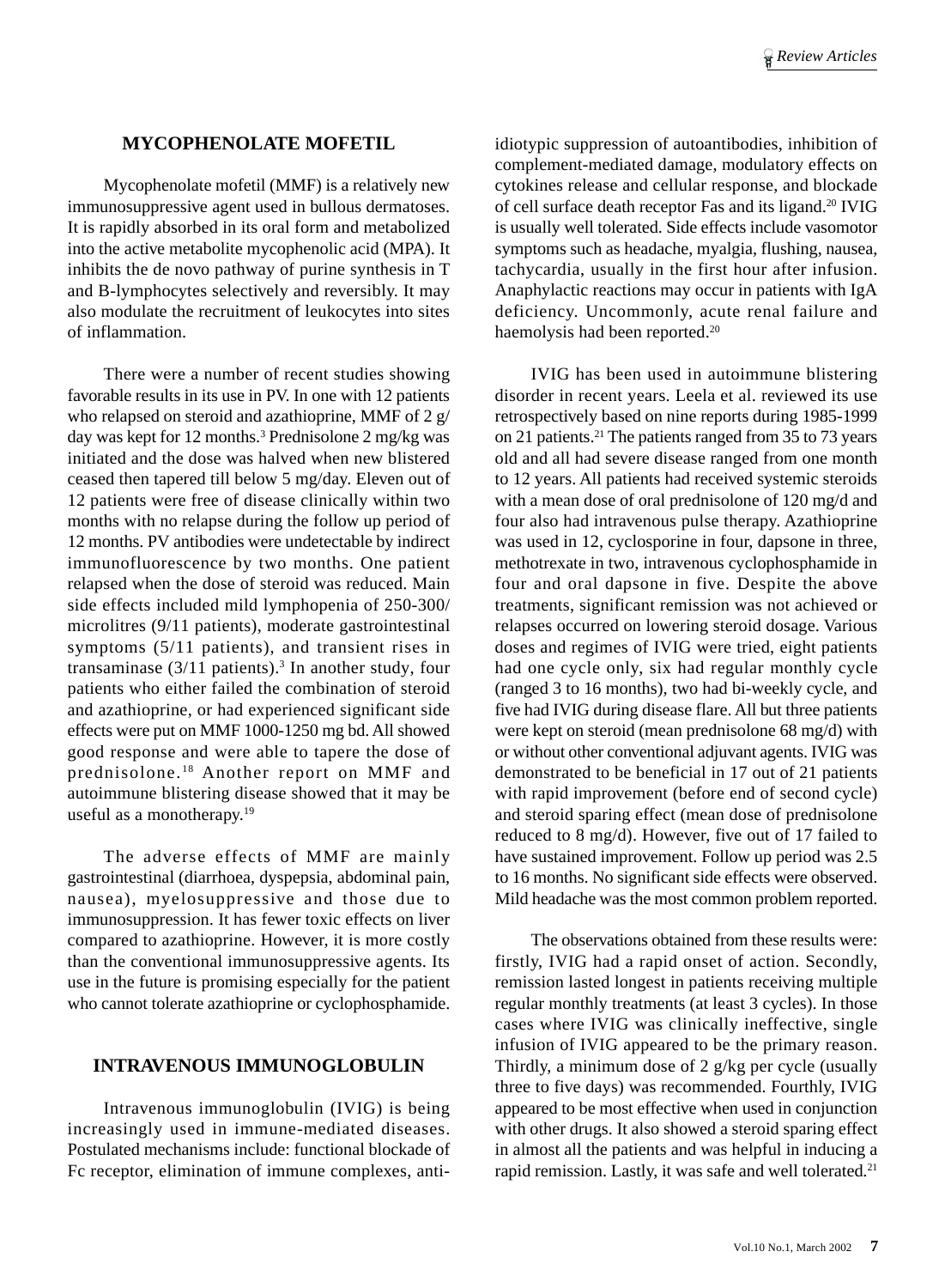## **MYCOPHENOLATE MOFETIL**

Mycophenolate mofetil (MMF) is a relatively new immunosuppressive agent used in bullous dermatoses. It is rapidly absorbed in its oral form and metabolized into the active metabolite mycophenolic acid (MPA). It inhibits the de novo pathway of purine synthesis in T and B-lymphocytes selectively and reversibly. It may also modulate the recruitment of leukocytes into sites of inflammation.

There were a number of recent studies showing favorable results in its use in PV. In one with 12 patients who relapsed on steroid and azathioprine, MMF of 2 g/ day was kept for 12 months.3 Prednisolone 2 mg/kg was initiated and the dose was halved when new blistered ceased then tapered till below 5 mg/day. Eleven out of 12 patients were free of disease clinically within two months with no relapse during the follow up period of 12 months. PV antibodies were undetectable by indirect immunofluorescence by two months. One patient relapsed when the dose of steroid was reduced. Main side effects included mild lymphopenia of 250-300/ microlitres (9/11 patients), moderate gastrointestinal symptoms (5/11 patients), and transient rises in transaminase  $(3/11$  patients).<sup>3</sup> In another study, four patients who either failed the combination of steroid and azathioprine, or had experienced significant side effects were put on MMF 1000-1250 mg bd. All showed good response and were able to tapere the dose of prednisolone. 18 Another report on MMF and autoimmune blistering disease showed that it may be useful as a monotherapy.<sup>19</sup>

The adverse effects of MMF are mainly gastrointestinal (diarrhoea, dyspepsia, abdominal pain, nausea), myelosuppressive and those due to immunosuppression. It has fewer toxic effects on liver compared to azathioprine. However, it is more costly than the conventional immunosuppressive agents. Its use in the future is promising especially for the patient who cannot tolerate azathioprine or cyclophosphamide.

## **INTRAVENOUS IMMUNOGLOBULIN**

Intravenous immunoglobulin (IVIG) is being increasingly used in immune-mediated diseases. Postulated mechanisms include: functional blockade of Fc receptor, elimination of immune complexes, antiidiotypic suppression of autoantibodies, inhibition of complement-mediated damage, modulatory effects on cytokines release and cellular response, and blockade of cell surface death receptor Fas and its ligand.20 IVIG is usually well tolerated. Side effects include vasomotor symptoms such as headache, myalgia, flushing, nausea, tachycardia, usually in the first hour after infusion. Anaphylactic reactions may occur in patients with IgA deficiency. Uncommonly, acute renal failure and haemolysis had been reported.<sup>20</sup>

IVIG has been used in autoimmune blistering disorder in recent years. Leela et al. reviewed its use retrospectively based on nine reports during 1985-1999 on 21 patients.21 The patients ranged from 35 to 73 years old and all had severe disease ranged from one month to 12 years. All patients had received systemic steroids with a mean dose of oral prednisolone of 120 mg/d and four also had intravenous pulse therapy. Azathioprine was used in 12, cyclosporine in four, dapsone in three, methotrexate in two, intravenous cyclophosphamide in four and oral dapsone in five. Despite the above treatments, significant remission was not achieved or relapses occurred on lowering steroid dosage. Various doses and regimes of IVIG were tried, eight patients had one cycle only, six had regular monthly cycle (ranged 3 to 16 months), two had bi-weekly cycle, and five had IVIG during disease flare. All but three patients were kept on steroid (mean prednisolone 68 mg/d) with or without other conventional adjuvant agents. IVIG was demonstrated to be beneficial in 17 out of 21 patients with rapid improvement (before end of second cycle) and steroid sparing effect (mean dose of prednisolone reduced to 8 mg/d). However, five out of 17 failed to have sustained improvement. Follow up period was 2.5 to 16 months. No significant side effects were observed. Mild headache was the most common problem reported.

The observations obtained from these results were: firstly, IVIG had a rapid onset of action. Secondly, remission lasted longest in patients receiving multiple regular monthly treatments (at least 3 cycles). In those cases where IVIG was clinically ineffective, single infusion of IVIG appeared to be the primary reason. Thirdly, a minimum dose of 2 g/kg per cycle (usually three to five days) was recommended. Fourthly, IVIG appeared to be most effective when used in conjunction with other drugs. It also showed a steroid sparing effect in almost all the patients and was helpful in inducing a rapid remission. Lastly, it was safe and well tolerated.21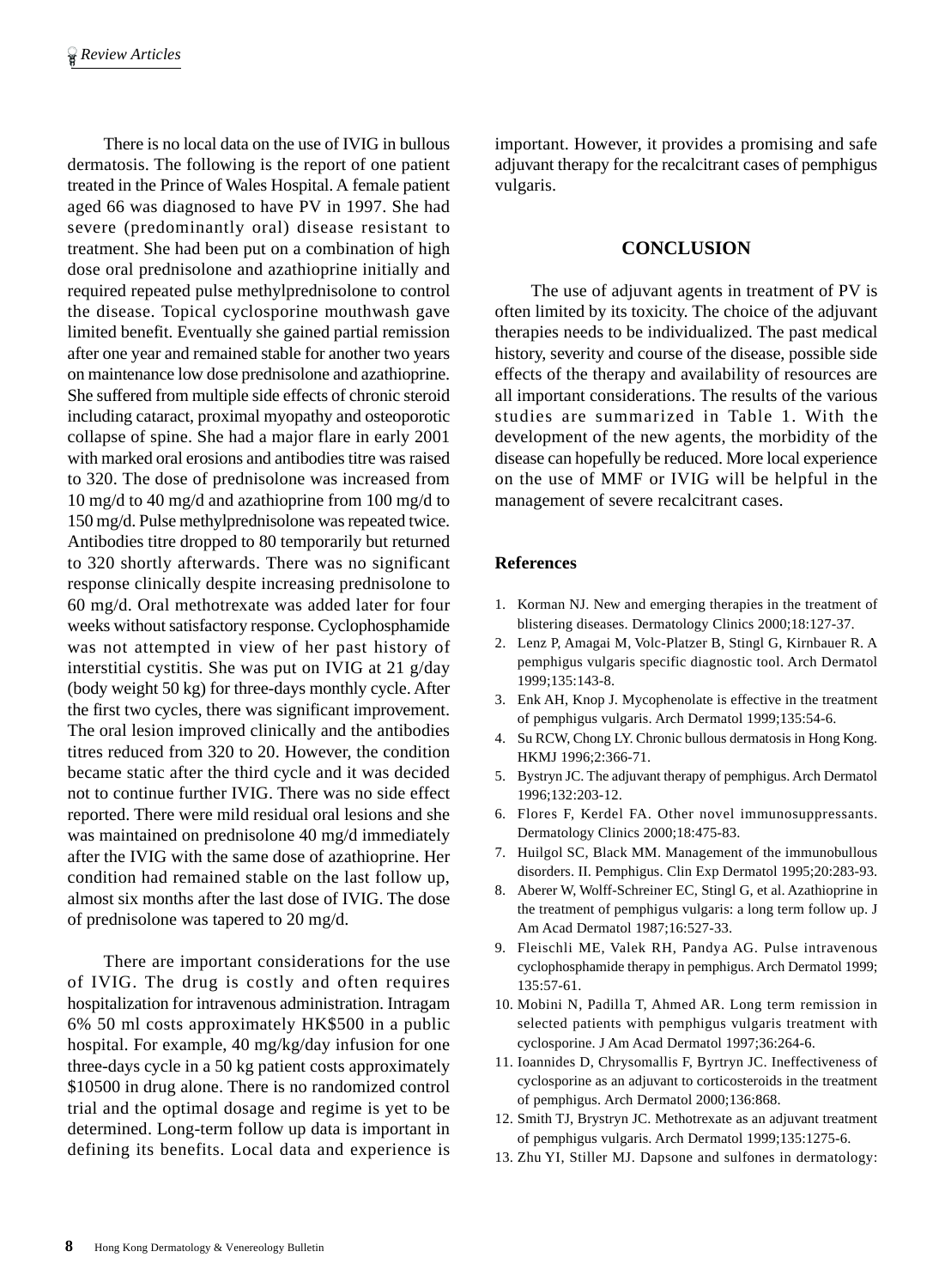There is no local data on the use of IVIG in bullous dermatosis. The following is the report of one patient treated in the Prince of Wales Hospital. A female patient aged 66 was diagnosed to have PV in 1997. She had severe (predominantly oral) disease resistant to treatment. She had been put on a combination of high dose oral prednisolone and azathioprine initially and required repeated pulse methylprednisolone to control the disease. Topical cyclosporine mouthwash gave limited benefit. Eventually she gained partial remission after one year and remained stable for another two years on maintenance low dose prednisolone and azathioprine. She suffered from multiple side effects of chronic steroid including cataract, proximal myopathy and osteoporotic collapse of spine. She had a major flare in early 2001 with marked oral erosions and antibodies titre was raised to 320. The dose of prednisolone was increased from 10 mg/d to 40 mg/d and azathioprine from 100 mg/d to 150 mg/d. Pulse methylprednisolone was repeated twice. Antibodies titre dropped to 80 temporarily but returned to 320 shortly afterwards. There was no significant response clinically despite increasing prednisolone to 60 mg/d. Oral methotrexate was added later for four weeks without satisfactory response. Cyclophosphamide was not attempted in view of her past history of interstitial cystitis. She was put on IVIG at 21 g/day (body weight 50 kg) for three-days monthly cycle. After the first two cycles, there was significant improvement. The oral lesion improved clinically and the antibodies titres reduced from 320 to 20. However, the condition became static after the third cycle and it was decided not to continue further IVIG. There was no side effect reported. There were mild residual oral lesions and she was maintained on prednisolone 40 mg/d immediately after the IVIG with the same dose of azathioprine. Her condition had remained stable on the last follow up, almost six months after the last dose of IVIG. The dose of prednisolone was tapered to 20 mg/d.

There are important considerations for the use of IVIG. The drug is costly and often requires hospitalization for intravenous administration. Intragam 6% 50 ml costs approximately HK\$500 in a public hospital. For example, 40 mg/kg/day infusion for one three-days cycle in a 50 kg patient costs approximately \$10500 in drug alone. There is no randomized control trial and the optimal dosage and regime is yet to be determined. Long-term follow up data is important in defining its benefits. Local data and experience is

important. However, it provides a promising and safe adjuvant therapy for the recalcitrant cases of pemphigus vulgaris.

## **CONCLUSION**

The use of adjuvant agents in treatment of PV is often limited by its toxicity. The choice of the adjuvant therapies needs to be individualized. The past medical history, severity and course of the disease, possible side effects of the therapy and availability of resources are all important considerations. The results of the various studies are summarized in Table 1. With the development of the new agents, the morbidity of the disease can hopefully be reduced. More local experience on the use of MMF or IVIG will be helpful in the management of severe recalcitrant cases.

## **References**

- 1. Korman NJ. New and emerging therapies in the treatment of blistering diseases. Dermatology Clinics 2000;18:127-37.
- 2. Lenz P, Amagai M, Volc-Platzer B, Stingl G, Kirnbauer R. A pemphigus vulgaris specific diagnostic tool. Arch Dermatol 1999;135:143-8.
- 3. Enk AH, Knop J. Mycophenolate is effective in the treatment of pemphigus vulgaris. Arch Dermatol 1999;135:54-6.
- 4. Su RCW, Chong LY. Chronic bullous dermatosis in Hong Kong. HKMJ 1996;2:366-71.
- 5. Bystryn JC. The adjuvant therapy of pemphigus. Arch Dermatol 1996;132:203-12.
- 6. Flores F, Kerdel FA. Other novel immunosuppressants. Dermatology Clinics 2000;18:475-83.
- 7. Huilgol SC, Black MM. Management of the immunobullous disorders. II. Pemphigus. Clin Exp Dermatol 1995;20:283-93.
- 8. Aberer W, Wolff-Schreiner EC, Stingl G, et al. Azathioprine in the treatment of pemphigus vulgaris: a long term follow up. J Am Acad Dermatol 1987;16:527-33.
- 9. Fleischli ME, Valek RH, Pandya AG. Pulse intravenous cyclophosphamide therapy in pemphigus. Arch Dermatol 1999; 135:57-61.
- 10. Mobini N, Padilla T, Ahmed AR. Long term remission in selected patients with pemphigus vulgaris treatment with cyclosporine. J Am Acad Dermatol 1997;36:264-6.
- 11. Ioannides D, Chrysomallis F, Byrtryn JC. Ineffectiveness of cyclosporine as an adjuvant to corticosteroids in the treatment of pemphigus. Arch Dermatol 2000;136:868.
- 12. Smith TJ, Brystryn JC. Methotrexate as an adjuvant treatment of pemphigus vulgaris. Arch Dermatol 1999;135:1275-6.
- 13. Zhu YI, Stiller MJ. Dapsone and sulfones in dermatology: